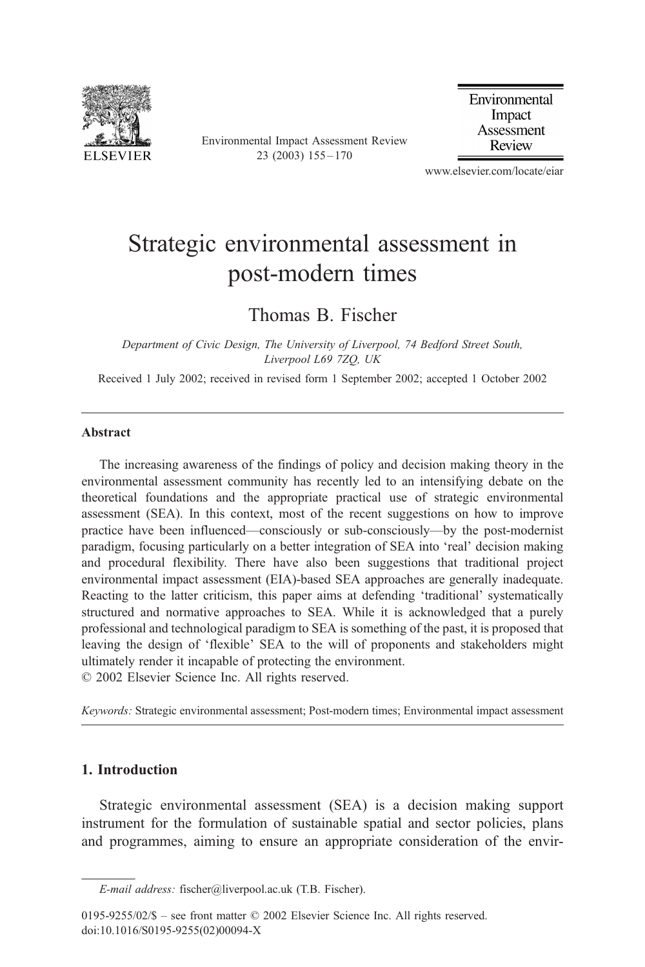

Environmental Impact Assessment Review 23 (2003) 155 – 170

Environmental Impact Assessment Review

www.elsevier.com/locate/eiar

## Strategic environmental assessment in post-modern times

### Thomas B. Fischer

Department of Civic Design, The University of Liverpool, 74 Bedford Street South, Liverpool L69 7ZQ, UK

Received 1 July 2002; received in revised form 1 September 2002; accepted 1 October 2002

#### Abstract

The increasing awareness of the findings of policy and decision making theory in the environmental assessment community has recently led to an intensifying debate on the theoretical foundations and the appropriate practical use of strategic environmental assessment (SEA). In this context, most of the recent suggestions on how to improve practice have been influenced—consciously or sub-consciously—by the post-modernist paradigm, focusing particularly on a better integration of SEA into 'real' decision making and procedural flexibility. There have also been suggestions that traditional project environmental impact assessment (EIA)-based SEA approaches are generally inadequate. Reacting to the latter criticism, this paper aims at defending 'traditional' systematically structured and normative approaches to SEA. While it is acknowledged that a purely professional and technological paradigm to SEA is something of the past, it is proposed that leaving the design of 'flexible' SEA to the will of proponents and stakeholders might ultimately render it incapable of protecting the environment.  $© 2002 Elsevier Science Inc. All rights reserved.$ 

Keywords: Strategic environmental assessment; Post-modern times; Environmental impact assessment

### 1. Introduction

Strategic environmental assessment (SEA) is a decision making support instrument for the formulation of sustainable spatial and sector policies, plans and programmes, aiming to ensure an appropriate consideration of the envir-

E-mail address: fischer@liverpool.ac.uk (T.B. Fischer).

 $0195-9255/02/\$$  – see front matter  $\degree$  2002 Elsevier Science Inc. All rights reserved. doi:10.1016/S0195-9255(02)00094-X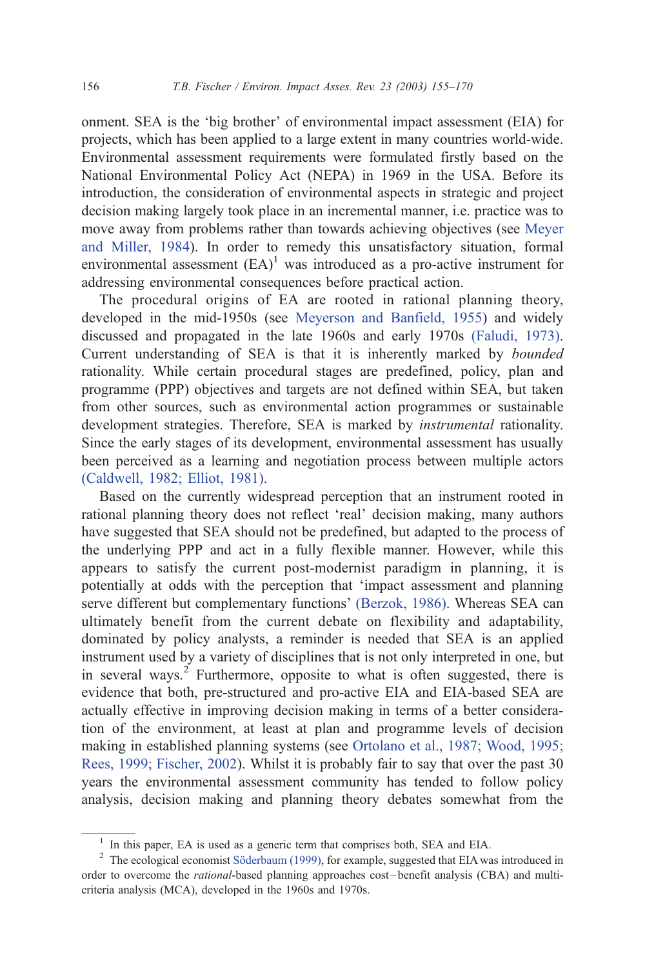onment. SEA is the 'big brother' of environmental impact assessment (EIA) for projects, which has been applied to a large extent in many countries world-wide. Environmental assessment requirements were formulated firstly based on the National Environmental Policy Act (NEPA) in 1969 in the USA. Before its introduction, the consideration of environmental aspects in strategic and project decision making largely took place in an incremental manner, i.e. practice was to move away from problems rather than towards achieving objectives (see [Meyer](#page--1-0) and Miller, 1984). In order to remedy this unsatisfactory situation, formal environmental assessment  $(EA)^1$  was introduced as a pro-active instrument for addressing environmental consequences before practical action.

The procedural origins of EA are rooted in rational planning theory, developed in the mid-1950s (see [Meyerson and Banfield, 1955\)](#page--1-0) and widely discussed and propagated in the late 1960s and early 1970s [\(Faludi, 1973\).](#page--1-0) Current understanding of SEA is that it is inherently marked by bounded rationality. While certain procedural stages are predefined, policy, plan and programme (PPP) objectives and targets are not defined within SEA, but taken from other sources, such as environmental action programmes or sustainable development strategies. Therefore, SEA is marked by *instrumental* rationality. Since the early stages of its development, environmental assessment has usually been perceived as a learning and negotiation process between multiple actors [\(Caldwell, 1982; Elliot, 1981\).](#page--1-0)

Based on the currently widespread perception that an instrument rooted in rational planning theory does not reflect 'real' decision making, many authors have suggested that SEA should not be predefined, but adapted to the process of the underlying PPP and act in a fully flexible manner. However, while this appears to satisfy the current post-modernist paradigm in planning, it is potentially at odds with the perception that 'impact assessment and planning serve different but complementary functions' [\(Berzok, 1986\).](#page--1-0) Whereas SEA can ultimately benefit from the current debate on flexibility and adaptability, dominated by policy analysts, a reminder is needed that SEA is an applied instrument used by a variety of disciplines that is not only interpreted in one, but in several ways.<sup>2</sup> Furthermore, opposite to what is often suggested, there is evidence that both, pre-structured and pro-active EIA and EIA-based SEA are actually effective in improving decision making in terms of a better consideration of the environment, at least at plan and programme levels of decision making in established planning systems (see [Ortolano et al., 1987; Wood, 1995;](#page--1-0) Rees, 1999; Fischer, 2002). Whilst it is probably fair to say that over the past 30 years the environmental assessment community has tended to follow policy analysis, decision making and planning theory debates somewhat from the

<sup>&</sup>lt;sup>1</sup> In this paper, EA is used as a generic term that comprises both, SEA and EIA.

 $2$  The ecological economist Söderbaum (1999), for example, suggested that EIA was introduced in order to overcome the *rational*-based planning approaches cost-benefit analysis (CBA) and multicriteria analysis (MCA), developed in the 1960s and 1970s.